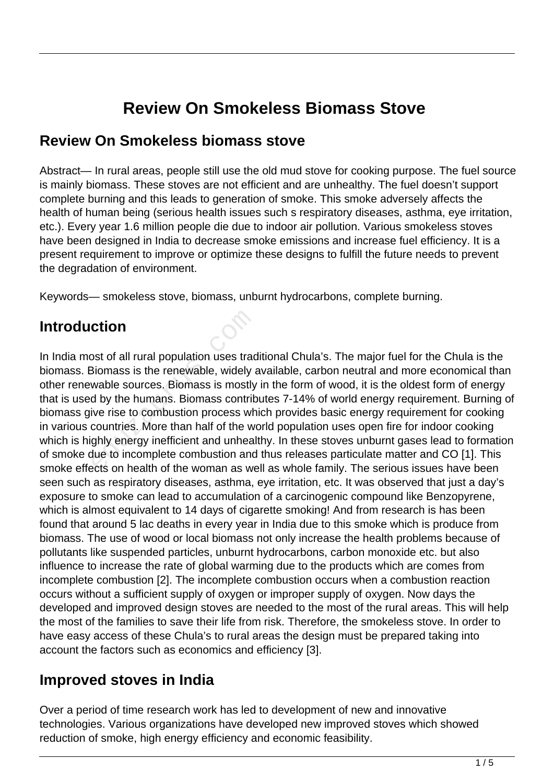# **Review On Smokeless Biomass Stove**

#### **Review On Smokeless biomass stove**

Abstract— In rural areas, people still use the old mud stove for cooking purpose. The fuel source is mainly biomass. These stoves are not efficient and are unhealthy. The fuel doesn't support complete burning and this leads to generation of smoke. This smoke adversely affects the health of human being (serious health issues such s respiratory diseases, asthma, eye irritation, etc.). Every year 1.6 million people die due to indoor air pollution. Various smokeless stoves have been designed in India to decrease smoke emissions and increase fuel efficiency. It is a present requirement to improve or optimize these designs to fulfill the future needs to prevent the degradation of environment.

Keywords— smokeless stove, biomass, unburnt hydrocarbons, complete burning.

## **Introduction**

In India most of all rural population uses traditional Chula's. The major fuel for the Chula is the biomass. Biomass is the renewable, widely available, carbon neutral and more economical than other renewable sources. Biomass is mostly in the form of wood, it is the oldest form of energy that is used by the humans. Biomass contributes 7-14% of world energy requirement. Burning of biomass give rise to combustion process which provides basic energy requirement for cooking in various countries. More than half of the world population uses open fire for indoor cooking which is highly energy inefficient and unhealthy. In these stoves unburnt gases lead to formation of smoke due to incomplete combustion and thus releases particulate matter and CO [1]. This smoke effects on health of the woman as well as whole family. The serious issues have been seen such as respiratory diseases, asthma, eye irritation, etc. It was observed that just a day's exposure to smoke can lead to accumulation of a carcinogenic compound like Benzopyrene, which is almost equivalent to 14 days of cigarette smoking! And from research is has been found that around 5 lac deaths in every year in India due to this smoke which is produce from biomass. The use of wood or local biomass not only increase the health problems because of pollutants like suspended particles, unburnt hydrocarbons, carbon monoxide etc. but also influence to increase the rate of global warming due to the products which are comes from incomplete combustion [2]. The incomplete combustion occurs when a combustion reaction occurs without a sufficient supply of oxygen or improper supply of oxygen. Now days the developed and improved design stoves are needed to the most of the rural areas. This will help the most of the families to save their life from risk. Therefore, the smokeless stove. In order to have easy access of these Chula's to rural areas the design must be prepared taking into account the factors such as economics and efficiency [3]. **Ction**<br>
Siomass is the renewable, widely a<br>
Siomass is the renewable, widely a<br>
wable sources. Biomass is mostly<br>
d by the humans. Biomass contric<br>
ive rise to combustion process wh<br>
countries. More than half of the we<br>
g

### **Improved stoves in India**

Over a period of time research work has led to development of new and innovative technologies. Various organizations have developed new improved stoves which showed reduction of smoke, high energy efficiency and economic feasibility.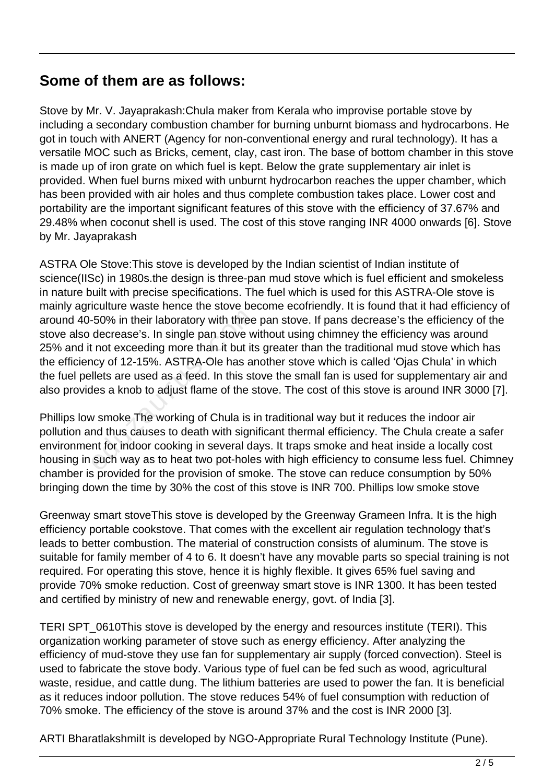### **Some of them are as follows:**

Stove by Mr. V. Jayaprakash:Chula maker from Kerala who improvise portable stove by including a secondary combustion chamber for burning unburnt biomass and hydrocarbons. He got in touch with ANERT (Agency for non-conventional energy and rural technology). It has a versatile MOC such as Bricks, cement, clay, cast iron. The base of bottom chamber in this stove is made up of iron grate on which fuel is kept. Below the grate supplementary air inlet is provided. When fuel burns mixed with unburnt hydrocarbon reaches the upper chamber, which has been provided with air holes and thus complete combustion takes place. Lower cost and portability are the important significant features of this stove with the efficiency of 37.67% and 29.48% when coconut shell is used. The cost of this stove ranging INR 4000 onwards [6]. Stove by Mr. Jayaprakash

ASTRA Ole Stove:This stove is developed by the Indian scientist of Indian institute of science(IISc) in 1980s.the design is three-pan mud stove which is fuel efficient and smokeless in nature built with precise specifications. The fuel which is used for this ASTRA-Ole stove is mainly agriculture waste hence the stove become ecofriendly. It is found that it had efficiency of around 40-50% in their laboratory with three pan stove. If pans decrease's the efficiency of the stove also decrease's. In single pan stove without using chimney the efficiency was around 25% and it not exceeding more than it but its greater than the traditional mud stove which has the efficiency of 12-15%. ASTRA-Ole has another stove which is called 'Ojas Chula' in which the fuel pellets are used as a feed. In this stove the small fan is used for supplementary air and also provides a knob to adjust flame of the stove. The cost of this stove is around INR 3000 [7]. -50% in their laboratory with three<br>decrease's. In single pan stove w<br>the tot exceeding more than it but its<br>ncy of 12-15%. ASTRA-Ole has are<br>llets are used as a feed. In this states a knob to adjust flame of the s<br>w smoke

Phillips low smoke The working of Chula is in traditional way but it reduces the indoor air pollution and thus causes to death with significant thermal efficiency. The Chula create a safer environment for indoor cooking in several days. It traps smoke and heat inside a locally cost housing in such way as to heat two pot-holes with high efficiency to consume less fuel. Chimney chamber is provided for the provision of smoke. The stove can reduce consumption by 50% bringing down the time by 30% the cost of this stove is INR 700. Phillips low smoke stove

Greenway smart stoveThis stove is developed by the Greenway Grameen Infra. It is the high efficiency portable cookstove. That comes with the excellent air regulation technology that's leads to better combustion. The material of construction consists of aluminum. The stove is suitable for family member of 4 to 6. It doesn't have any movable parts so special training is not required. For operating this stove, hence it is highly flexible. It gives 65% fuel saving and provide 70% smoke reduction. Cost of greenway smart stove is INR 1300. It has been tested and certified by ministry of new and renewable energy, govt. of India [3].

TERI SPT\_0610This stove is developed by the energy and resources institute (TERI). This organization working parameter of stove such as energy efficiency. After analyzing the efficiency of mud-stove they use fan for supplementary air supply (forced convection). Steel is used to fabricate the stove body. Various type of fuel can be fed such as wood, agricultural waste, residue, and cattle dung. The lithium batteries are used to power the fan. It is beneficial as it reduces indoor pollution. The stove reduces 54% of fuel consumption with reduction of 70% smoke. The efficiency of the stove is around 37% and the cost is INR 2000 [3].

ARTI Bharatlakshmilt is developed by NGO-Appropriate Rural Technology Institute (Pune).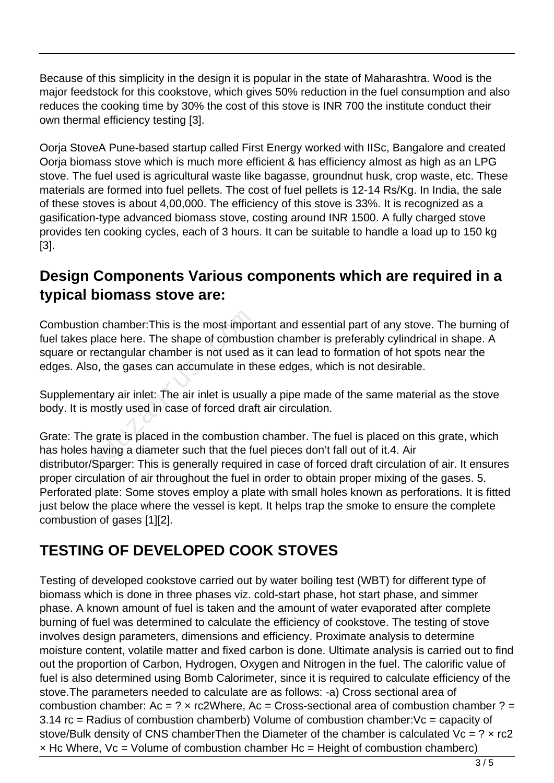Because of this simplicity in the design it is popular in the state of Maharashtra. Wood is the major feedstock for this cookstove, which gives 50% reduction in the fuel consumption and also reduces the cooking time by 30% the cost of this stove is INR 700 the institute conduct their own thermal efficiency testing [3].

Oorja StoveA Pune-based startup called First Energy worked with IISc, Bangalore and created Oorja biomass stove which is much more efficient & has efficiency almost as high as an LPG stove. The fuel used is agricultural waste like bagasse, groundnut husk, crop waste, etc. These materials are formed into fuel pellets. The cost of fuel pellets is 12-14 Rs/Kg. In India, the sale of these stoves is about 4,00,000. The efficiency of this stove is 33%. It is recognized as a gasification-type advanced biomass stove, costing around INR 1500. A fully charged stove provides ten cooking cycles, each of 3 hours. It can be suitable to handle a load up to 150 kg [3].

### **Design Components Various components which are required in a typical biomass stove are:**

Combustion chamber:This is the most important and essential part of any stove. The burning of fuel takes place here. The shape of combustion chamber is preferably cylindrical in shape. A square or rectangular chamber is not used as it can lead to formation of hot spots near the edges. Also, the gases can accumulate in these edges, which is not desirable. on chamber:This is the most impor<br>place here. The shape of combusi<br>rectangular chamber is not used a<br>o, the gases can accumulate in th<br>ntary air inlet: The air inlet is usua<br>mostly used in case of forced draf<br>expared in th

Supplementary air inlet: The air inlet is usually a pipe made of the same material as the stove body. It is mostly used in case of forced draft air circulation.

Grate: The grate is placed in the combustion chamber. The fuel is placed on this grate, which has holes having a diameter such that the fuel pieces don't fall out of it.4. Air distributor/Sparger: This is generally required in case of forced draft circulation of air. It ensures proper circulation of air throughout the fuel in order to obtain proper mixing of the gases. 5. Perforated plate: Some stoves employ a plate with small holes known as perforations. It is fitted just below the place where the vessel is kept. It helps trap the smoke to ensure the complete combustion of gases [1][2].

## **TESTING OF DEVELOPED COOK STOVES**

Testing of developed cookstove carried out by water boiling test (WBT) for different type of biomass which is done in three phases viz. cold-start phase, hot start phase, and simmer phase. A known amount of fuel is taken and the amount of water evaporated after complete burning of fuel was determined to calculate the efficiency of cookstove. The testing of stove involves design parameters, dimensions and efficiency. Proximate analysis to determine moisture content, volatile matter and fixed carbon is done. Ultimate analysis is carried out to find out the proportion of Carbon, Hydrogen, Oxygen and Nitrogen in the fuel. The calorific value of fuel is also determined using Bomb Calorimeter, since it is required to calculate efficiency of the stove.The parameters needed to calculate are as follows: -a) Cross sectional area of combustion chamber:  $Ac = ? \times rc2Where$ ,  $Ac = Cross-sectional area of combustion chamber ? =$ 3.14 rc = Radius of combustion chamberb) Volume of combustion chamber:Vc = capacity of stove/Bulk density of CNS chamberThen the Diameter of the chamber is calculated  $Vc = ? \times rc2$  $\times$  Hc Where, Vc = Volume of combustion chamber Hc = Height of combustion chamberc)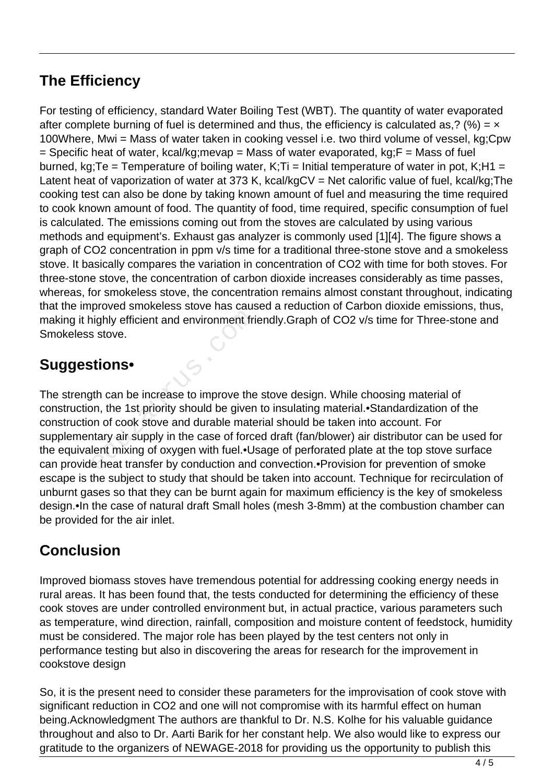## **The Efficiency**

For testing of efficiency, standard Water Boiling Test (WBT). The quantity of water evaporated after complete burning of fuel is determined and thus, the efficiency is calculated as,? (%) =  $\times$ 100Where, Mwi = Mass of water taken in cooking vessel i.e. two third volume of vessel, kg;Cpw  $=$  Specific heat of water, kcal/kg;mevap = Mass of water evaporated, kg; $F =$  Mass of fuel burned, kg;Te = Temperature of boiling water, K;Ti = Initial temperature of water in pot, K;H1 = Latent heat of vaporization of water at 373 K, kcal/kgCV = Net calorific value of fuel, kcal/kg; The cooking test can also be done by taking known amount of fuel and measuring the time required to cook known amount of food. The quantity of food, time required, specific consumption of fuel is calculated. The emissions coming out from the stoves are calculated by using various methods and equipment's. Exhaust gas analyzer is commonly used [1][4]. The figure shows a graph of CO2 concentration in ppm v/s time for a traditional three-stone stove and a smokeless stove. It basically compares the variation in concentration of CO2 with time for both stoves. For three-stone stove, the concentration of carbon dioxide increases considerably as time passes, whereas, for smokeless stove, the concentration remains almost constant throughout, indicating that the improved smokeless stove has caused a reduction of Carbon dioxide emissions, thus, making it highly efficient and environment friendly.Graph of CO2 v/s time for Three-stone and Smokeless stove.

## **Suggestions•**

The strength can be increase to improve the stove design. While choosing material of construction, the 1st priority should be given to insulating material.•Standardization of the construction of cook stove and durable material should be taken into account. For supplementary air supply in the case of forced draft (fan/blower) air distributor can be used for the equivalent mixing of oxygen with fuel.•Usage of perforated plate at the top stove surface can provide heat transfer by conduction and convection.•Provision for prevention of smoke escape is the subject to study that should be taken into account. Technique for recirculation of unburnt gases so that they can be burnt again for maximum efficiency is the key of smokeless design.•In the case of natural draft Small holes (mesh 3-8mm) at the combustion chamber can be provided for the air inlet. ighly efficient and environment fri<br>s stove.<br>**tions•**<br>th can be increase to improve the<br>on, the 1st priority should be given<br>on of cook stove and durable mate<br>tary air supply in the case of force<br>lent mixing of oxygen with

## **Conclusion**

Improved biomass stoves have tremendous potential for addressing cooking energy needs in rural areas. It has been found that, the tests conducted for determining the efficiency of these cook stoves are under controlled environment but, in actual practice, various parameters such as temperature, wind direction, rainfall, composition and moisture content of feedstock, humidity must be considered. The major role has been played by the test centers not only in performance testing but also in discovering the areas for research for the improvement in cookstove design

So, it is the present need to consider these parameters for the improvisation of cook stove with significant reduction in CO2 and one will not compromise with its harmful effect on human being.Acknowledgment The authors are thankful to Dr. N.S. Kolhe for his valuable guidance throughout and also to Dr. Aarti Barik for her constant help. We also would like to express our gratitude to the organizers of NEWAGE-2018 for providing us the opportunity to publish this